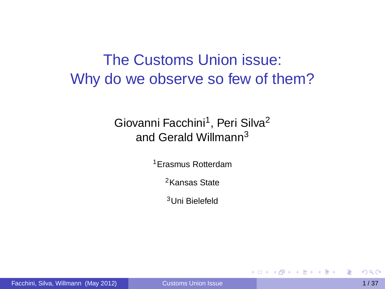The Customs Union issue: Why do we observe so few of them?

#### Giovanni Facchini<sup>1</sup>, Peri Silva<sup>2</sup> and Gerald Willmann<sup>3</sup>

<sup>1</sup>Erasmus Rotterdam

<sup>2</sup>Kansas State

<sup>3</sup>Uni Bielefeld

<span id="page-0-0"></span>化重压 不重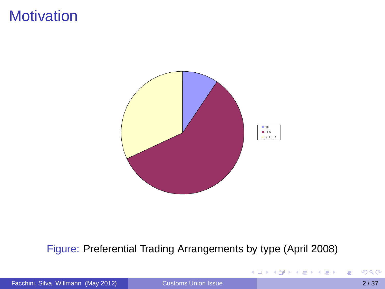## **Motivation**



#### Figure: Preferential Trading Arrangements by type (April 2008)

Facchini, Silva, Willmann (May 2012) [Customs Union Issue](#page-0-0) 2/37

È

K ロ K K 御 K K 唐 K K 唐 K L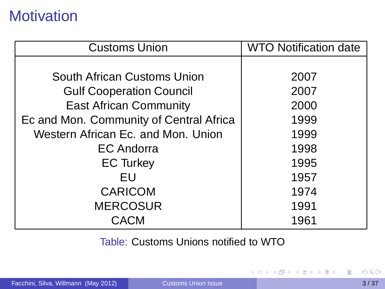# **Motivation**

| <b>Customs Union</b>                    | <b>WTO Notification date</b> |
|-----------------------------------------|------------------------------|
|                                         |                              |
| South African Customs Union             | 2007                         |
| <b>Gulf Cooperation Council</b>         | 2007                         |
| <b>East African Community</b>           | 2000                         |
| Ec and Mon. Community of Central Africa | 1999                         |
| Western African Ec. and Mon. Union      | 1999                         |
| EC Andorra                              | 1998                         |
| <b>EC Turkey</b>                        | 1995                         |
| EU                                      | 1957                         |
| <b>CARICOM</b>                          | 1974                         |
| <b>MERCOSUR</b>                         | 1991                         |
| CACM                                    | 1961                         |

Table: Customs Unions notified to WTO

重

イロト イ団 トイモト イモトー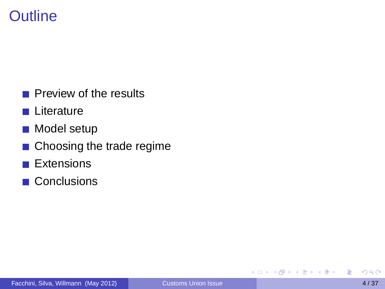# **Outline**

- **Preview of the results**
- **L** Literature
- **Model setup**
- Choosing the trade regime
- **Extensions**
- **Conclusions**

4. 17. 34

×. A F 医单位 医单

目

 $\rightarrow$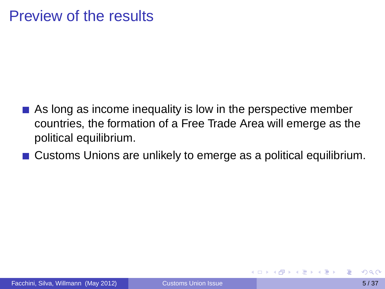## Preview of the results

- As long as income inequality is low in the perspective member countries, the formation of a Free Trade Area will emerge as the political equilibrium.
- Customs Unions are unlikely to emerge as a political equilibrium.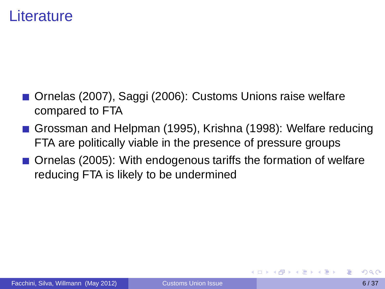### Literature

- Ornelas (2007), Saggi (2006): Customs Unions raise welfare compared to FTA
- Grossman and Helpman (1995), Krishna (1998): Welfare reducing FTA are politically viable in the presence of pressure groups
- Ornelas (2005): With endogenous tariffs the formation of welfare reducing FTA is likely to be undermined

4 B F 4 B F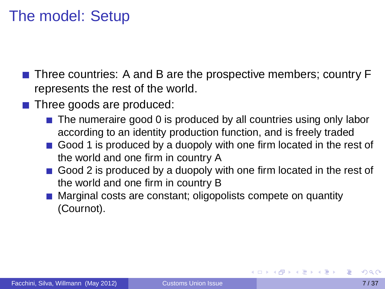# The model: Setup

- **Three countries:** A and B are the prospective members; country F represents the rest of the world.
- $\blacksquare$  Three goods are produced:
	- $\blacksquare$  The numeraire good 0 is produced by all countries using only labor according to an identity production function, and is freely traded
	- Good 1 is produced by a duopoly with one firm located in the rest of the world and one firm in country A
	- Good 2 is produced by a duopoly with one firm located in the rest of the world and one firm in country B
	- **Marginal costs are constant; oligopolists compete on quantity** (Cournot).

 $\mathcal{A}$   $\overline{\mathcal{B}}$   $\rightarrow$   $\mathcal{A}$   $\overline{\mathcal{B}}$   $\rightarrow$   $\mathcal{A}$   $\overline{\mathcal{B}}$   $\rightarrow$   $\mathcal{B}$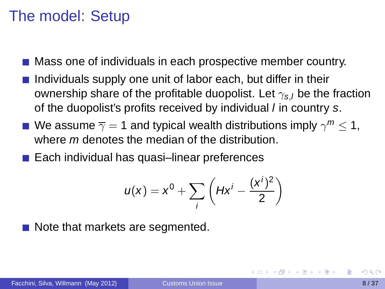## The model: Setup

- Mass one of individuals in each prospective member country.
- Individuals supply one unit of labor each, but differ in their ownership share of the profitable duopolist. Let  $\gamma_{s,l}$  be the fraction of the duopolist's profits received by individual *l* in country s.
- We assume  $\overline{\gamma}=$  1 and typical wealth distributions imply  $\gamma^m$   $\leq$  1, where *m* denotes the median of the distribution.
- Each individual has quasi–linear preferences

$$
u(x) = x^0 + \sum_i \left( Hx^i - \frac{(x^i)^2}{2} \right)
$$

Note that markets are segmented.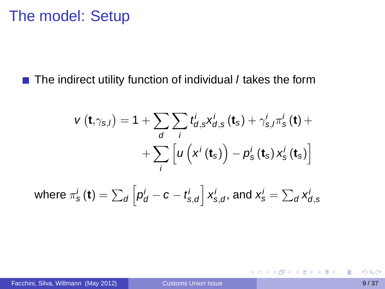### The model: Setup

 $\blacksquare$  The indirect utility function of individual *I* takes the form

$$
v(t,\gamma_{s,l}) = 1 + \sum_{d} \sum_{i} t_{d,s}^{i} x_{d,s}^{i}(t_s) + \gamma_{s,l}^{i} \pi_{s}^{i}(t) + \\ + \sum_{i} \left[ u\left(x^{i}(t_s)\right) - p_{s}^{i}(t_s) x_{s}^{i}(t_s) \right]
$$

where 
$$
\pi_s^i(\mathbf{t}) = \sum_d \left[ p_d^i - c - t_{s,d}^i \right] x_{s,d}^i
$$
, and  $x_s^i = \sum_d x_{d,s}^i$ 

Facchini, Silva, Willmann (May 2012) [Customs Union Issue](#page-0-0) 9/37

目

K ロト K 御 ト K 君 ト K 君 トー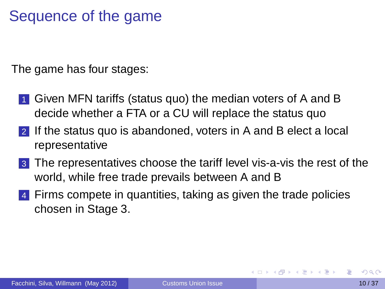# Sequence of the game

The game has four stages:

- 1 Given MFN tariffs (status quo) the median voters of A and B decide whether a FTA or a CU will replace the status quo
- 2 If the status quo is abandoned, voters in A and B elect a local representative
- 3 The representatives choose the tariff level vis-a-vis the rest of the world, while free trade prevails between A and B
- 4 Firms compete in quantities, taking as given the trade policies chosen in Stage 3.

**REPAIR**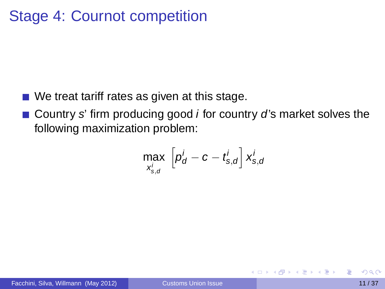# Stage 4: Cournot competition

- We treat tariff rates as given at this stage.
- Country s' firm producing good  $i$  for country d's market solves the following maximization problem:

$$
\max_{x_{s,d}^i} \left[ p_d^i - c - t_{s,d}^i \right] x_{s,d}^i
$$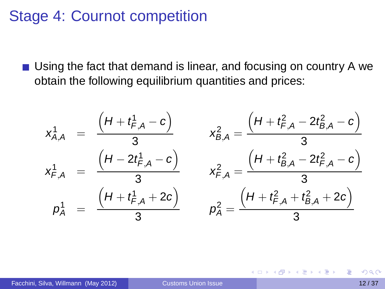## Stage 4: Cournot competition

Using the fact that demand is linear, and focusing on country A we obtain the following equilibrium quantities and prices:

$$
x_{A,A}^1 = \frac{\left(H + t_{F,A}^1 - c\right)}{3} \qquad x_{B,A}^2 = \frac{\left(H + t_{F,A}^2 - 2t_{B,A}^2 - c\right)}{3}
$$
\n
$$
x_{F,A}^1 = \frac{\left(H - 2t_{F,A}^1 - c\right)}{3} \qquad x_{F,A}^2 = \frac{\left(H + t_{B,A}^2 - 2t_{F,A}^2 - c\right)}{3}
$$
\n
$$
p_A^1 = \frac{\left(H + t_{F,A}^1 + 2c\right)}{3} \qquad p_A^2 = \frac{\left(H + t_{F,A}^2 + t_{B,A}^2 + 2c\right)}{3}
$$

 $\left\{ \frac{m}{2} \right\}$  ,  $\left\{ \frac{m}{2} \right\}$  ,  $\left\{ \frac{m}{2} \right\}$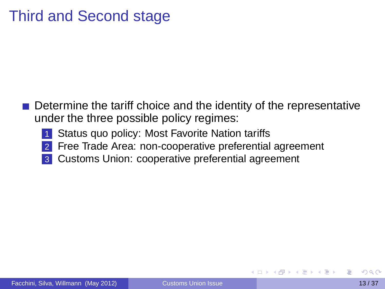# Third and Second stage

- Determine the tariff choice and the identity of the representative under the three possible policy regimes:
	- Status quo policy: Most Favorite Nation tariffs
	- 2 Free Trade Area: non-cooperative preferential agreement
	- Customs Union: cooperative preferential agreement

A → → E → → E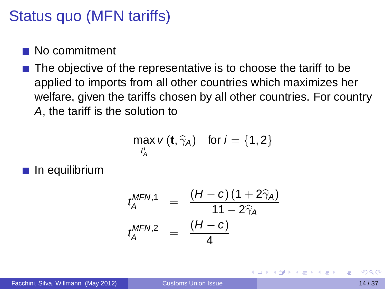# Status quo (MFN tariffs)

#### No commitment

 $\blacksquare$  The objective of the representative is to choose the tariff to be applied to imports from all other countries which maximizes her welfare, given the tariffs chosen by all other countries. For country A, the tariff is the solution to

$$
\max_{t_A'} v(t, \widehat{\gamma}_A) \quad \text{for } i = \{1, 2\}
$$

 $\blacksquare$  In equilibrium

$$
t_A^{\text{MFN},1} = \frac{(H-c)(1+2\hat{\gamma}_A)}{11-2\hat{\gamma}_A}
$$
  

$$
t_A^{\text{MFN},2} = \frac{(H-c)}{4}
$$

Facchini, Silva, Willmann (May 2012) [Customs Union Issue](#page-0-0) 14 / 37

3 E X 3 E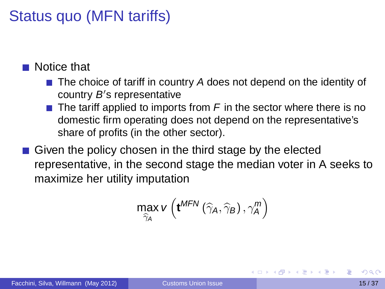# Status quo (MFN tariffs)

#### ■ Notice that

- $\blacksquare$  The choice of tariff in country A does not depend on the identity of country B's representative
- $\blacksquare$  The tariff applied to imports from F in the sector where there is no domestic firm operating does not depend on the representative's share of profits (in the other sector).
- Given the policy chosen in the third stage by the elected representative, in the second stage the median voter in A seeks to maximize her utility imputation

$$
\max_{\widehat{\gamma}_A} v\left(\mathbf{t}^{\textit{MFN}}\left(\widehat{\gamma}_A, \widehat{\gamma}_B\right), \gamma_A^{\textit{m}}\right)
$$

**A BAK BA**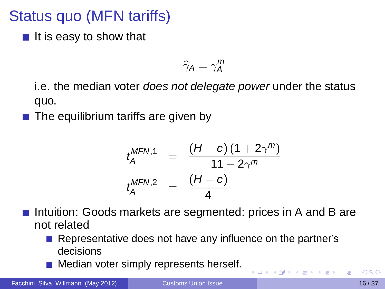# Status quo (MFN tariffs)

 $\blacksquare$  It is easy to show that

$$
\widehat{\gamma}_A = \gamma_A^m
$$

i.e. the median voter *does not delegate power* under the status quo.

The equilibrium tariffs are given by

$$
t_A^{\text{MFN,1}} = \frac{(H-c) (1 + 2\gamma^m)}{11 - 2\gamma^m}
$$
  

$$
t_A^{\text{MFN,2}} = \frac{(H-c)}{4}
$$

- Intuition: Goods markets are segmented: prices in A and B are not related
	- Representative does not have any influence on the partner's decisions

 $(5 + 1)$ 

原 にゅ 手につ

Median voter simply represents herself.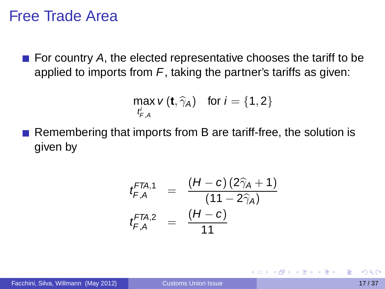### Free Trade Area

For country A, the elected representative chooses the tariff to be applied to imports from  $F$ , taking the partner's tariffs as given:

$$
\max_{t'_{F,A}} v(t, \widehat{\gamma}_A) \quad \text{for } i = \{1, 2\}
$$

Remembering that imports from B are tariff-free, the solution is given by

$$
t_{F,A}^{FTA,1} = \frac{(H-c)(2\hat{\gamma}_A+1)}{(11-2\hat{\gamma}_A)}
$$
  

$$
t_{F,A}^{FTA,2} = \frac{(H-c)}{11}
$$

医单位 医单位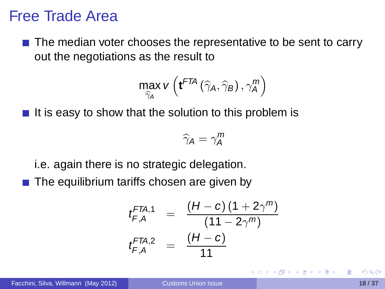### Free Trade Area

 $\blacksquare$  The median voter chooses the representative to be sent to carry out the negotiations as the result to

$$
\max_{\widehat{\gamma}_A} v\left(\mathbf{t}^{FTA}\left(\widehat{\gamma}_A, \widehat{\gamma}_B\right), \gamma_A^m\right)
$$

It is easy to show that the solution to this problem is

$$
\widehat{\gamma}_A = \gamma_A^m
$$

- i.e. again there is no strategic delegation.
- $\blacksquare$  The equilibrium tariffs chosen are given by

$$
t_{F,A}^{FTA,1} = \frac{(H-c) (1 + 2\gamma^m)}{(11 - 2\gamma^m)}
$$
  

$$
t_{F,A}^{FTA,2} = \frac{(H-c)}{11}
$$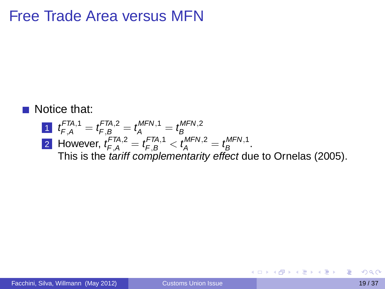# Free Trade Area versus MFN

#### Notice that:

\n- **1** 
$$
t_{F,A}^{FTA,1} = t_{F,B}^{FTA,2} = t_A^{MFN,1} = t_B^{MFN,2}
$$
\n- **2** However,  $t_{F,A}^{FTA,2} = t_{F,B}^{FTA,1} < t_A^{MFN,2} = t_B^{MFN,1}$ . This is the *tariff complementarity effect* due to Ornelas (2005).
\n

活

イロメイ部メイ君メイ君メー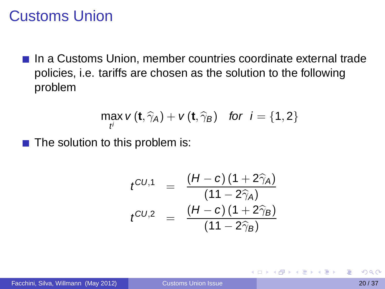## Customs Union

In a Customs Union, member countries coordinate external trade policies, i.e. tariffs are chosen as the solution to the following problem

$$
\max_{t'} v(\mathbf{t}, \widehat{\gamma}_A) + v(\mathbf{t}, \widehat{\gamma}_B) \quad \text{for} \ \ i = \{1, 2\}
$$

 $\blacksquare$  The solution to this problem is:

$$
t^{CU,1} = \frac{(H-c)(1+2\widehat{\gamma}_A)}{(11-2\widehat{\gamma}_A)}
$$
  

$$
t^{CU,2} = \frac{(H-c)(1+2\widehat{\gamma}_B)}{(11-2\widehat{\gamma}_B)}
$$

Facchini, Silva, Willmann (May 2012) [Customs Union Issue](#page-0-0) 20 / 37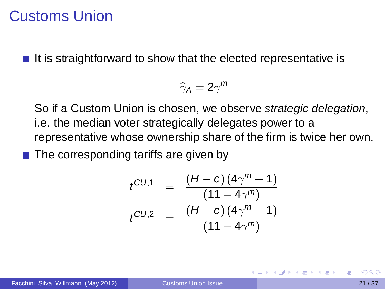### Customs Union

It is straightforward to show that the elected representative is

$$
\widehat{\gamma}_A=2\gamma^m
$$

So if a Custom Union is chosen, we observe strategic delegation, i.e. the median voter strategically delegates power to a representative whose ownership share of the firm is twice her own.

 $\blacksquare$  The corresponding tariffs are given by

$$
t^{CU,1} = \frac{(H-c) (4\gamma^m + 1)}{(11 - 4\gamma^m)}
$$

$$
t^{CU,2} = \frac{(H-c) (4\gamma^m + 1)}{(11 - 4\gamma^m)}
$$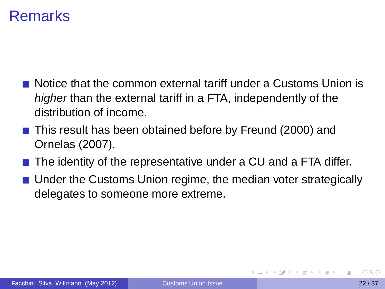## Remarks

- Notice that the common external tariff under a Customs Union is higher than the external tariff in a FTA, independently of the distribution of income.
- This result has been obtained before by Freund (2000) and Ornelas (2007).
- The identity of the representative under a CU and a FTA differ.
- **Under the Customs Union regime, the median voter strategically** delegates to someone more extreme.

化重氮化重氮化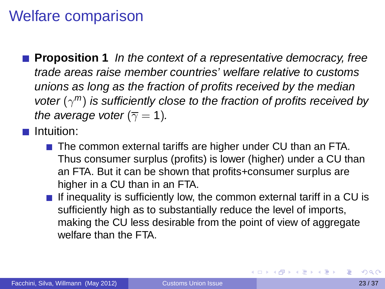## Welfare comparison

**Proposition 1** In the context of a representative democracy, free trade areas raise member countries' welfare relative to customs unions as long as the fraction of profits received by the median voter  $(\gamma^m)$  is sufficiently close to the fraction of profits received by the average voter ( $\overline{\gamma} = 1$ ).

**Intuition:** 

- The common external tariffs are higher under CU than an FTA. Thus consumer surplus (profits) is lower (higher) under a CU than an FTA. But it can be shown that profits+consumer surplus are higher in a CU than in an FTA.
- $\blacksquare$  If inequality is sufficiently low, the common external tariff in a CU is sufficiently high as to substantially reduce the level of imports, making the CU less desirable from the point of view of aggregate welfare than the FTA.

イロト イ押 トイラ トイラト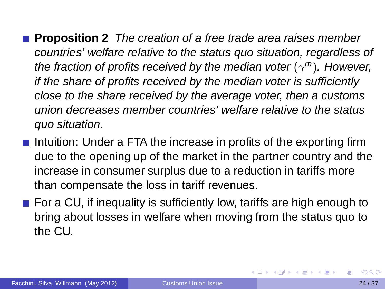- **Proposition 2** The creation of a free trade area raises member countries' welfare relative to the status quo situation, regardless of the fraction of profits received by the median voter  $(\gamma^m)$ . However, if the share of profits received by the median voter is sufficiently close to the share received by the average voter, then a customs union decreases member countries' welfare relative to the status quo situation.
- Intuition: Under a FTA the increase in profits of the exporting firm due to the opening up of the market in the partner country and the increase in consumer surplus due to a reduction in tariffs more than compensate the loss in tariff revenues.
- For a CU, if inequality is sufficiently low, tariffs are high enough to bring about losses in welfare when moving from the status quo to the CU.

イロト イ団 トイモト イモトー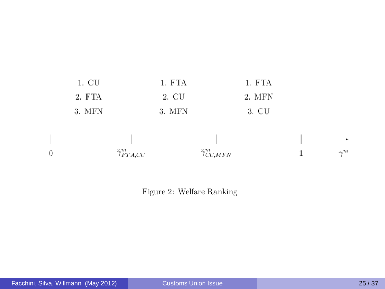



Figure 2: Welfare Ranking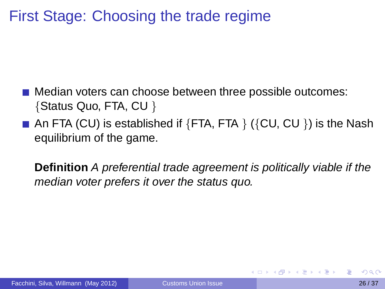# First Stage: Choosing the trade regime

- **Median voters can choose between three possible outcomes:** {Status Quo, FTA, CU }
- An FTA (CU) is established if  ${FTA, FTA}$   $({CU, CU)}$  is the Nash equilibrium of the game.

**Definition** A preferential trade agreement is politically viable if the median voter prefers it over the status quo.

**A BAK BA**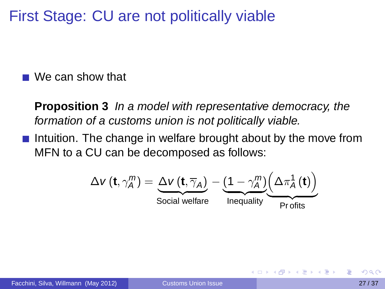First Stage: CU are not politically viable

■ We can show that

**Proposition 3** In a model with representative democracy, the formation of a customs union is not politically viable.

Intuition. The change in welfare brought about by the move from MFN to a CU can be decomposed as follows:

$$
\Delta V\left(\mathbf{t}, \gamma_A^m\right) = \underbrace{\Delta V\left(\mathbf{t}, \overline{\gamma}_A\right)}_{\text{Social welfare}} - \underbrace{\left(1 - \gamma_A^m\right)\left(\Delta \pi_A^1\left(\mathbf{t}\right)\right)}_{\text{Preoffs}}
$$

押 トラミト オミト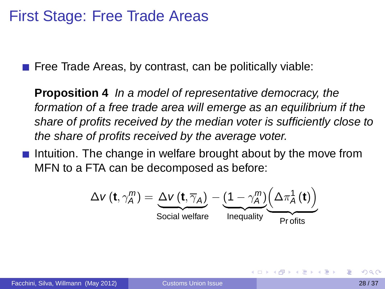## First Stage: Free Trade Areas

 $\blacksquare$  Free Trade Areas, by contrast, can be politically viable:

**Proposition 4** In a model of representative democracy, the formation of a free trade area will emerge as an equilibrium if the share of profits received by the median voter is sufficiently close to the share of profits received by the average voter.

Intuition. The change in welfare brought about by the move from MFN to a FTA can be decomposed as before:

$$
\Delta V\left(\mathbf{t}, \gamma_A^m\right) = \underbrace{\Delta V\left(\mathbf{t}, \overline{\gamma}_A\right)}_{\text{Social welfare}} - \underbrace{\left(1 - \gamma_A^m\right)\left(\Delta \pi_A^1\left(\mathbf{t}\right)\right)}_{\text{Prefits}}
$$

イロメ イ押メ イヨメ イヨメー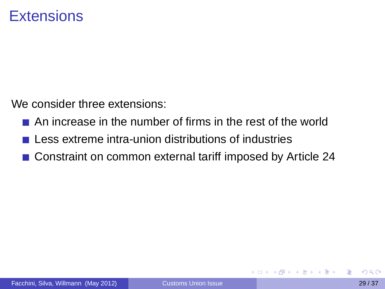We consider three extensions:

- An increase in the number of firms in the rest of the world
- Less extreme intra-union distributions of industries
- Constraint on common external tariff imposed by Article 24

あきする 新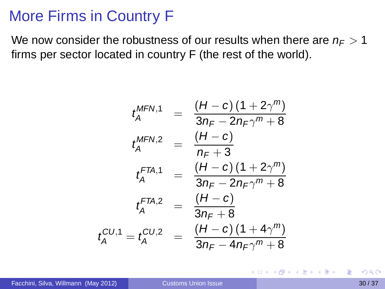## More Firms in Country F

We now consider the robustness of our results when there are  $n_F > 1$ firms per sector located in country F (the rest of the world).

$$
t_A^{\text{MFN},1} = \frac{(H-c)(1+2\gamma^m)}{3n_F - 2n_F\gamma^m + 8}
$$

$$
t_A^{\text{MFN},2} = \frac{(H-c)}{n_F + 3}
$$

$$
t_A^{\text{FTA},1} = \frac{(H-c)(1+2\gamma^m)}{3n_F - 2n_F\gamma^m + 8}
$$

$$
t_A^{\text{FTA},2} = \frac{(H-c)}{3n_F + 8}
$$

$$
t_A^{\text{CTA},2} = t_A^{\text{CU},2} = \frac{(H-c)(1+4\gamma^m)}{3n_F - 4n_F\gamma^m + 8}
$$

E

イロメ イ母 トイラメ イラメ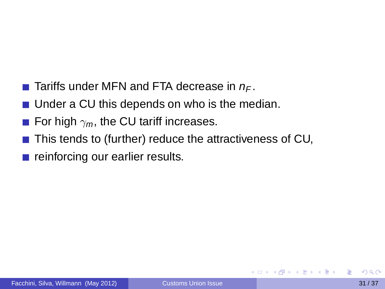- **Tariffs under MFN and FTA decrease in**  $n_F$ **.**
- Under a CU this depends on who is the median.
- For high  $\gamma_m$ , the CU tariff increases.
- $\blacksquare$  This tends to (further) reduce the attractiveness of CU,
- reinforcing our earlier results.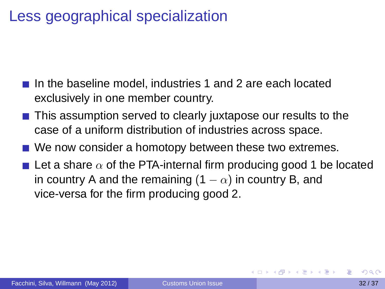## Less geographical specialization

- In the baseline model, industries 1 and 2 are each located exclusively in one member country.
- This assumption served to clearly juxtapose our results to the case of a uniform distribution of industries across space.
- We now consider a homotopy between these two extremes.
- <span id="page-31-0"></span>**Let a share**  $\alpha$  **of the PTA-internal firm producing good 1 be located** in country A and the remaining (1  $-\alpha$ ) in country B, and vice-versa for the firm producing good 2.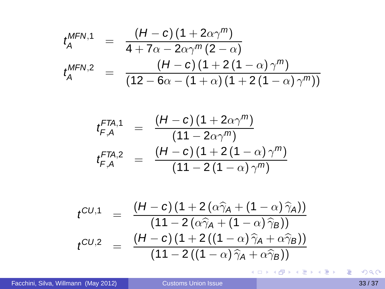$$
t_A^{\text{MFN},1} = \frac{(H-c) (1+2\alpha\gamma^m)}{4+7\alpha-2\alpha\gamma^m(2-\alpha)}
$$
  

$$
t_A^{\text{MFN},2} = \frac{(H-c) (1+2(1-\alpha)\gamma^m)}{(12-6\alpha-(1+\alpha)(1+2(1-\alpha)\gamma^m))}
$$

$$
t_{F,A}^{FTA,1} = \frac{(H-c)(1+2\alpha\gamma^m)}{(11-2\alpha\gamma^m)}
$$
  

$$
t_{F,A}^{FTA,2} = \frac{(H-c)(1+2(1-\alpha)\gamma^m)}{(11-2(1-\alpha)\gamma^m)}
$$

$$
t^{CU,1} = \frac{(H-c)(1+2(\alpha\hat{\gamma}_A + (1-\alpha)\hat{\gamma}_A))}{(11-2(\alpha\hat{\gamma}_A + (1-\alpha)\hat{\gamma}_B))}
$$
  

$$
t^{CU,2} = \frac{(H-c)(1+2((1-\alpha)\hat{\gamma}_A + \alpha\hat{\gamma}_B))}{(11-2((1-\alpha)\hat{\gamma}_A + \alpha\hat{\gamma}_B))}
$$

**Kロ→ K個→ Kミ→ Kミ→ 「ミ」 の&@**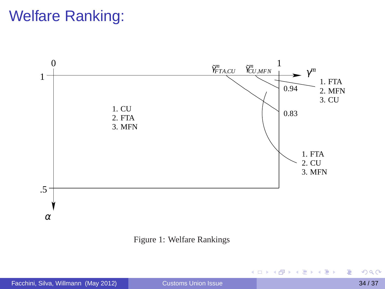# Welfare Ranking:



Figure 1: Welfare Rankings

重

<span id="page-33-0"></span>(ロトイ部)→(差)→(差)→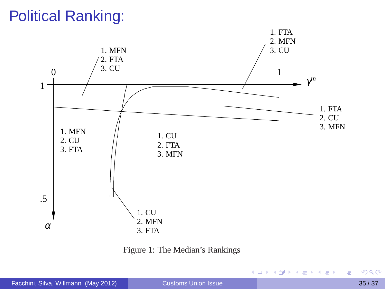# Political Ranking:



Figure 1: The Median's Rankings

重

(ロトイ部)→(差)→(差)→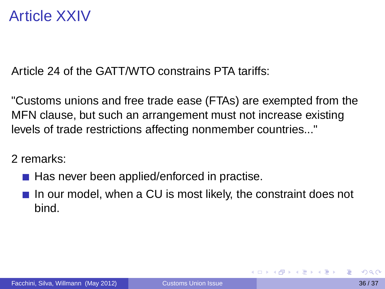## Article XXIV

Article 24 of the GATT/WTO constrains PTA tariffs:

"Customs unions and free trade ease (FTAs) are exempted from the MFN clause, but such an arrangement must not increase existing levels of trade restrictions affecting nonmember countries..."

2 remarks:

- Has never been applied/enforced in practise.
- $\blacksquare$  In our model, when a CU is most likely, the constraint does not bind.